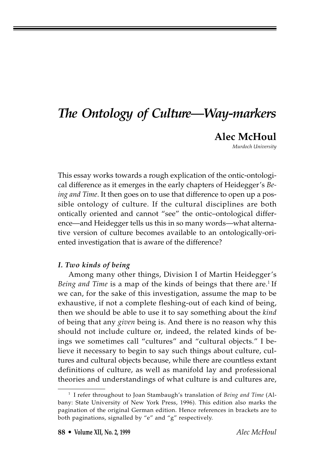## *The Ontology of Culture—Way-markers*

**Alec McHoul**

*Murdoch University*

This essay works towards a rough explication of the ontic-ontological difference as it emerges in the early chapters of Heidegger's *Being and Time*. It then goes on to use that difference to open up a possible ontology of culture. If the cultural disciplines are both ontically oriented and cannot "see" the ontic–ontological difference—and Heidegger tells us this in so many words—what alternative version of culture becomes available to an ontologically-oriented investigation that is aware of the difference?

## *I. Two kinds of being*

Among many other things, Division I of Martin Heidegger's *Being and Time* is a map of the kinds of beings that there are.<sup>1</sup> If we can, for the sake of this investigation, assume the map to be exhaustive, if not a complete fleshing-out of each kind of being, then we should be able to use it to say something about the *kind* of being that any *given* being is. And there is no reason why this should not include culture or, indeed, the related kinds of beings we sometimes call "cultures" and "cultural objects." I believe it necessary to begin to say such things about culture, cultures and cultural objects because, while there are countless extant definitions of culture, as well as manifold lay and professional theories and understandings of what culture is and cultures are,

<sup>&</sup>lt;sup>1</sup> I refer throughout to Joan Stambaugh's translation of *Being and Time* (Albany: State University of New York Press, 1996). This edition also marks the pagination of the original German edition. Hence references in brackets are to both paginations, signalled by "e" and "g" respectively.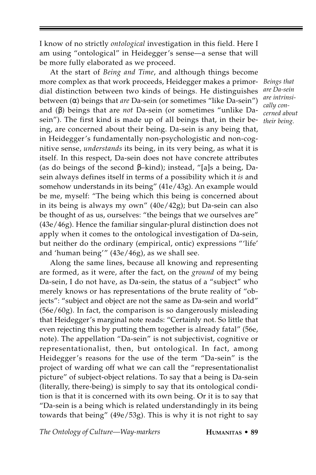I know of no strictly *ontological* investigation in this field. Here I am using "ontological" in Heidegger's sense—a sense that will be more fully elaborated as we proceed.

At the start of *Being and Time*, and although things become more complex as that work proceeds, Heidegger makes a primordial distinction between two kinds of beings. He distinguishes between (α) beings that *are* Da-sein (or sometimes "like Da-sein") and (β) beings that are *not* Da-sein (or sometimes "unlike Dasein"). The first kind is made up of all beings that, in their being, are concerned about their being. Da-sein is any being that, in Heidegger's fundamentally non-psychologistic and non-cognitive sense, *understands* its being, in its very being, as what it is itself. In this respect, Da-sein does not have concrete attributes (as do beings of the second β–kind); instead, "[a]s a being, Dasein always defines itself in terms of a possibility which it *is* and somehow understands in its being" (41e/43g). An example would be me, myself: "The being which this being is concerned about in its being is always my own" (40e/42g); but Da-sein can also be thought of as us, ourselves: "the beings that we ourselves are" (43e/46g). Hence the familiar singular-plural distinction does not apply when it comes to the ontological investigation of Da-sein, but neither do the ordinary (empirical, ontic) expressions "'life' and 'human being'" (43e/46g), as we shall see.

Along the same lines, because all knowing and representing are formed, as it were, after the fact, on the *ground* of my being Da-sein, I do not have, as Da-sein, the status of a "subject" who merely knows or has representations of the brute reality of "objects": "subject and object are not the same as Da-sein and world" (56e/60g). In fact, the comparison is so dangerously misleading that Heidegger's marginal note reads: "Certainly not. So little that even rejecting this by putting them together is already fatal" (56e, note). The appellation "Da-sein" is not subjectivist, cognitive or representationalist, then, but ontological. In fact, among Heidegger's reasons for the use of the term "Da-sein" is the project of warding off what we can call the "representationalist picture" of subject-object relations. To say that a being is Da-sein (literally, there-being) is simply to say that its ontological condition is that it is concerned with its own being. Or it is to say that "Da-sein is a being which is related understandingly in its being towards that being" (49e/53g). This is why it is not right to say

The Ontology of Culture—Way-markers **HUMANITAS • 89** 

*Beings that are Da-sein are intrinsically concerned about their being.*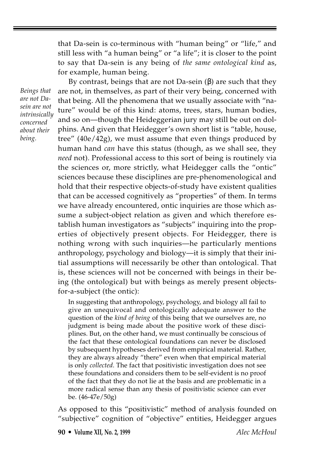that Da-sein is co-terminous with "human being" or "life," and still less with "a human being" or "a life"; it is closer to the point to say that Da-sein is any being of *the same ontological kind* as, for example, human being.

*Beings that are not Dasein are not intrinsically concerned about their being.*

By contrast, beings that are not Da-sein  $(β)$  are such that they are not, in themselves, as part of their very being, concerned with that being. All the phenomena that we usually associate with "nature" would be of this kind: atoms, trees, stars, human bodies, and so on—though the Heideggerian jury may still be out on dolphins. And given that Heidegger's own short list is "table, house, tree" (40e/42g), we must assume that even things produced by human hand *can* have this status (though, as we shall see, they *need* not). Professional access to this sort of being is routinely via the sciences or, more strictly, what Heidegger calls the "ontic" sciences because these disciplines are pre-phenomenological and hold that their respective objects-of-study have existent qualities that can be accessed cognitively as "properties" of them. In terms we have already encountered, ontic inquiries are those which assume a subject-object relation as given and which therefore establish human investigators as "subjects" inquiring into the properties of objectively present objects. For Heidegger, there is nothing wrong with such inquiries—he particularly mentions anthropology, psychology and biology—it is simply that their initial assumptions will necessarily be other than ontological. That is, these sciences will not be concerned with beings in their being (the ontological) but with beings as merely present objectsfor-a-subject (the ontic):

In suggesting that anthropology, psychology, and biology all fail to give an unequivocal and ontologically adequate answer to the question of the *kind of being* of this being that we ourselves are, no judgment is being made about the positive work of these disciplines. But, on the other hand, we must continually be conscious of the fact that these ontological foundations can never be disclosed by subsequent hypotheses derived from empirical material. Rather, they are always already "there" even when that empirical material is only *collected*. The fact that positivistic investigation does not see these foundations and considers them to be self-evident is no proof of the fact that they do not lie at the basis and are problematic in a more radical sense than any thesis of positivistic science can ever be. (46-47e/50g)

As opposed to this "positivistic" method of analysis founded on "subjective" cognition of "objective" entities, Heidegger argues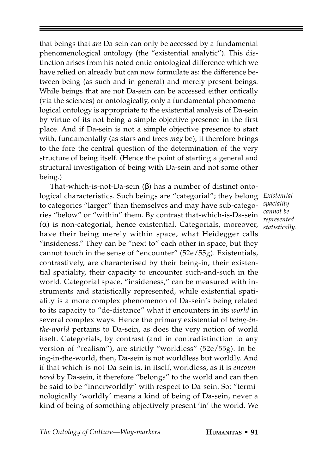that beings that *are* Da-sein can only be accessed by a fundamental phenomenological ontology (the "existential analytic"). This distinction arises from his noted ontic-ontological difference which we have relied on already but can now formulate as: the difference between being (as such and in general) and merely present beings. While beings that are not Da-sein can be accessed either ontically (via the sciences) or ontologically, only a fundamental phenomenological ontology is appropriate to the existential analysis of Da-sein by virtue of its not being a simple objective presence in the first place. And if Da-sein is not a simple objective presence to start with, fundamentally (as stars and trees *may* be), it therefore brings to the fore the central question of the determination of the very structure of being itself. (Hence the point of starting a general and structural investigation of being with Da-sein and not some other being.)

That-which-is-not-Da-sein (β) has a number of distinct ontological characteristics. Such beings are "categorial"; they belong to categories "larger" than themselves and may have sub-categories "below" or "within" them. By contrast that-which-is-Da-sein (α) is non-categorial, hence existential. Categorials, moreover, have their being merely within space, what Heidegger calls "insideness." They can be "next to" each other in space, but they cannot touch in the sense of "encounter" (52e/55g). Existentials, contrastively, are characterised by their being-in, their existential spatiality, their capacity to encounter such-and-such in the world. Categorial space, "insideness," can be measured with instruments and statistically represented, while existential spatiality is a more complex phenomenon of Da-sein's being related to its capacity to "de-distance" what it encounters in its *world* in several complex ways. Hence the primary existential of *being-inthe-world* pertains to Da-sein, as does the very notion of world itself. Categorials, by contrast (and in contradistinction to any version of "realism"), are strictly "worldless" (52e/55g). In being-in-the-world, then, Da-sein is not worldless but worldly. And if that-which-is-not-Da-sein is, in itself, worldless, as it is *encountered* by Da-sein, it therefore "belongs" to the world and can then be said to be "innerworldly" with respect to Da-sein. So: "terminologically 'worldly' means a kind of being of Da-sein, never a kind of being of something objectively present 'in' the world. We

*Existential spaciality cannot be represented statistically.*

The Ontology of Culture—Way-markers **HUMANITAS • 91**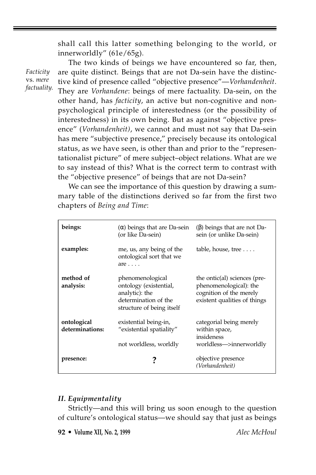shall call this latter something belonging to the world, or innerworldly" (61e/65g).

*Facticity* vs. *mere factuality.*

The two kinds of beings we have encountered so far, then, are quite distinct. Beings that are not Da-sein have the distinctive kind of presence called "objective presence"—*Vorhandenheit*. They are *Vorhandene*: beings of mere factuality. Da-sein, on the other hand, has *facticity*, an active but non-cognitive and nonpsychological principle of interestedness (or the possibility of interestedness) in its own being. But as against "objective presence" (*Vorhandenheit)*, we cannot and must not say that Da-sein has mere "subjective presence," precisely because its ontological status, as we have seen, is other than and prior to the "representationalist picture" of mere subject–object relations. What are we to say instead of this? What is the correct term to contrast with the "objective presence" of beings that are not Da-sein?

We can see the importance of this question by drawing a summary table of the distinctions derived so far from the first two chapters of *Being and Time*:

| beings:                        | $(α)$ beings that are Da-sein<br>(or like Da-sein)                                                                | $(\beta)$ beings that are not Da-<br>sein (or unlike Da-sein)                                                     |
|--------------------------------|-------------------------------------------------------------------------------------------------------------------|-------------------------------------------------------------------------------------------------------------------|
| examples:                      | me, us, any being of the<br>ontological sort that we<br>$are \ldots$ .                                            | table, house, tree $\dots$ .                                                                                      |
| method of<br>analysis:         | phenomenological<br>ontology (existential,<br>analytic): the<br>determination of the<br>structure of being itself | the ontic(al) sciences (pre-<br>phenomenological): the<br>cognition of the merely<br>existent qualities of things |
| ontological<br>determinations: | existential being-in,<br>"existential spatiality"<br>not worldless, worldly                                       | categorial being merely<br>within space,<br>insideness<br>worldless—>innerworldly                                 |
| presence:                      | ?                                                                                                                 | objective presence<br>(Vorhandenheit)                                                                             |

## *II. Equipmentality*

Strictly—and this will bring us soon enough to the question of culture's ontological status—we should say that just as beings

**92 • Volume XII, No. 2, 1999** *Alec McHoul*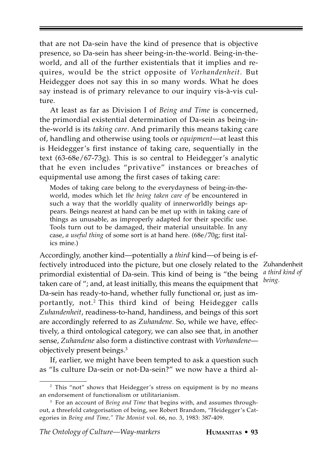that are not Da-sein have the kind of presence that is objective presence, so Da-sein has sheer being-in-the-world. Being-in-theworld, and all of the further existentials that it implies and requires, would be the strict opposite of *Vorhandenheit*. But Heidegger does not say this in so many words. What he does say instead is of primary relevance to our inquiry vis-à-vis culture.

At least as far as Division I of *Being and Time* is concerned, the primordial existential determination of Da-sein as being-inthe-world is its *taking care*. And primarily this means taking care of, handling and otherwise using tools or *equipment*—at least this is Heidegger's first instance of taking care, sequentially in the text (63-68e/67-73g). This is so central to Heidegger's analytic that he even includes "privative" instances or breaches of equipmental use among the first cases of taking care:

Modes of taking care belong to the everydayness of being-in-theworld, modes which let *the being taken care of* be encountered in such a way that the worldly quality of innerworldly beings appears. Beings nearest at hand can be met up with in taking care of things as unusable, as improperly adapted for their specific use. Tools turn out to be damaged, their material unsuitable. In any case, *a useful thing* of some sort is at hand here. (68e/70g; first italics mine.)

Accordingly, another kind—potentially a *third* kind—of being is effectively introduced into the picture, but one closely related to the Zuhandenheit primordial existential of Da-sein. This kind of being is "the being taken care of "; and, at least initially, this means the equipment that Da-sein has ready-to-hand, whether fully functional or, just as importantly, not.<sup>2</sup> This third kind of being Heidegger calls *Zuhandenheit*, readiness-to-hand, handiness, and beings of this sort are accordingly referred to as *Zuhandene*. So, while we have, effectively, a third ontological category, we can also see that, in another sense, *Zuhandene* also form a distinctive contrast with *Vorhandene* objectively present beings.3

If, earlier, we might have been tempted to ask a question such as "Is culture Da-sein or not-Da-sein?" we now have a third al-

*a third kind of being.*

<sup>&</sup>lt;sup>2</sup> This "not" shows that Heidegger's stress on equipment is by no means an endorsement of functionalism or utilitarianism.

<sup>&</sup>lt;sup>3</sup> For an account of *Being and Time* that begins with, and assumes throughout, a threefold categorisation of being, see Robert Brandom, "Heidegger's Categories in *Being and Time," The Monist* vol. 66, no. 3, 1983: 387-409.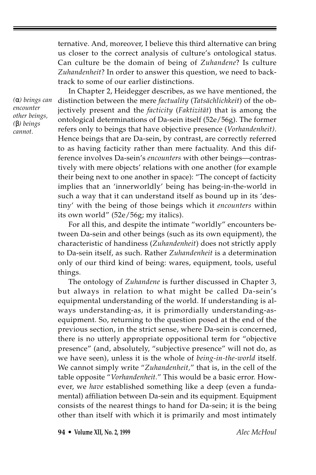ternative. And, moreover, I believe this third alternative can bring us closer to the correct analysis of culture's ontological status. Can culture be the domain of being of *Zuhandene*? Is culture *Zuhandenheit*? In order to answer this question, we need to backtrack to some of our earlier distinctions.

*(*α*) beings can encounter other beings, (*β*) beings cannot.*

In Chapter 2, Heidegger describes, as we have mentioned, the distinction between the mere *factuality* (*Tatsächlichkeit*) of the objectively present and the *facticity* (*Faktizität*) that is among the ontological determinations of Da-sein itself (52e/56g). The former refers only to beings that have objective presence (*Vorhandenheit)*. Hence beings that are Da-sein, by contrast, are correctly referred to as having facticity rather than mere factuality. And this difference involves Da-sein's *encounters* with other beings—contrastively with mere objects' relations with one another (for example their being next to one another in space): "The concept of facticity implies that an 'innerworldly' being has being-in-the-world in such a way that it can understand itself as bound up in its 'destiny' with the being of those beings which it *encounters* within its own world" (52e/56g; my italics).

For all this, and despite the intimate "worldly" encounters between Da-sein and other beings (such as its own equipment), the characteristic of handiness (*Zuhandenheit*) does not strictly apply to Da-sein itself, as such. Rather *Zuhandenheit* is a determination only of our third kind of being: wares, equipment, tools, useful things.

The ontology of *Zuhandene* is further discussed in Chapter 3, but always in relation to what might be called Da-sein's equipmental understanding of the world. If understanding is always understanding-as, it is primordially understanding-asequipment. So, returning to the question posed at the end of the previous section, in the strict sense, where Da-sein is concerned, there is no utterly appropriate oppositional term for "objective presence" (and, absolutely, "subjective presence" will not do, as we have seen), unless it is the whole of *being-in-the-world* itself. We cannot simply write "*Zuhandenheit,*" that is, in the cell of the table opposite "*Vorhandenheit.*" This would be a basic error. However, we *have* established something like a deep (even a fundamental) affiliation between Da-sein and its equipment. Equipment consists of the nearest things to hand for Da-sein; it is the being other than itself with which it is primarily and most intimately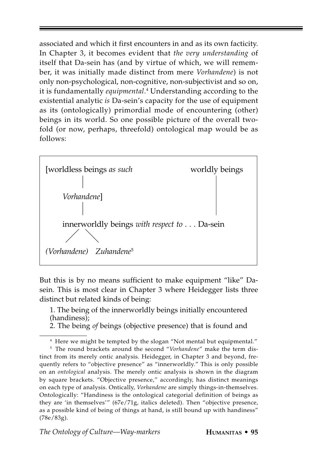associated and which it first encounters in and as its own facticity. In Chapter 3, it becomes evident that *the very understanding* of itself that Da-sein has (and by virtue of which, we will remember, it was initially made distinct from mere *Vorhandene*) is not only non-psychological, non-cognitive, non-subjectivist and so on, it is fundamentally *equipmental*.<sup>4</sup> Understanding according to the existential analytic *is* Da-sein's capacity for the use of equipment as its (ontologically) primordial mode of encountering (other) beings in its world. So one possible picture of the overall twofold (or now, perhaps, threefold) ontological map would be as follows:



But this is by no means sufficient to make equipment "like" Dasein. This is most clear in Chapter 3 where Heidegger lists three distinct but related kinds of being:

1. The being of the innerworldly beings initially encountered (handiness);

2. The being *of* beings (objective presence) that is found and

<sup>&</sup>lt;sup>4</sup> Here we might be tempted by the slogan "Not mental but equipmental."

<sup>5</sup> The round brackets around the second "*Vorhandene*" make the term distinct from its merely ontic analysis. Heidegger, in Chapter 3 and beyond, frequently refers to "objective presence" as "innerworldly." This is only possible on an *ontological* analysis. The merely ontic analysis is shown in the diagram by square brackets. "Objective presence," accordingly, has distinct meanings on each type of analysis. Ontically, *Vorhandene* are simply things-in-themselves. Ontologically: "Handiness is the ontological categorial definition of beings as they are 'in themselves'" (67e/71g, italics deleted). Then "objective presence, as a possible kind of being of things at hand, is still bound up with handiness" (78e/83g).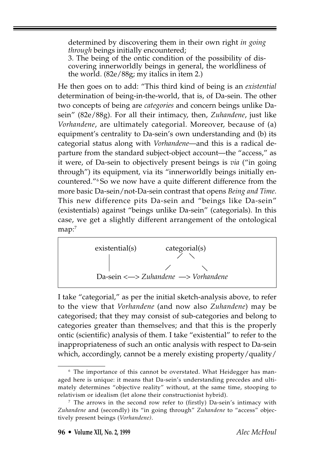determined by discovering them in their own right *in going through* beings initially encountered;

3. The being of the ontic condition of the possibility of discovering innerworldly beings in general, the worldliness of the world. (82e/88g; my italics in item 2.)

He then goes on to add: "This third kind of being is an *existential* determination of being-in-the-world, that is, of Da-sein. The other two concepts of being are *categories* and concern beings unlike Dasein" (82e/88g). For all their intimacy, then, *Zuhandene*, just like *Vorhandene*, are ultimately categorial. Moreover, because of (a) equipment's centrality to Da-sein's own understanding and (b) its categorial status along with *Vorhandene*—and this is a radical departure from the standard subject-object account—the "access," as it were, of Da-sein to objectively present beings is *via* ("in going through") its equipment, via its "innerworldly beings initially encountered."6 So we now have a quite different difference from the more basic Da-sein/not-Da-sein contrast that opens *Being and Time*. This new difference pits Da-sein and "beings like Da-sein" (existentials) against "beings unlike Da-sein" (categorials). In this case, we get a slightly different arrangement of the ontological  $map:$ <sup>7</sup>

 existential(s) categorial(s) Da-sein <—> *Zuhandene* —> *Vorhandene*

I take "categorial," as per the initial sketch-analysis above, to refer to the view that *Vorhandene* (and now also *Zuhandene*) may be categorised; that they may consist of sub-categories and belong to categories greater than themselves; and that this is the properly ontic (scientific) analysis of them. I take "existential" to refer to the inappropriateness of such an ontic analysis with respect to Da-sein which, accordingly, cannot be a merely existing property/quality/

<sup>&</sup>lt;sup>6</sup> The importance of this cannot be overstated. What Heidegger has managed here is unique: it means that Da-sein's understanding precedes and ultimately determines "objective reality" without, at the same time, stooping to relativism or idealism (let alone their constructionist hybrid).

<sup>7</sup> The arrows in the second row refer to (firstly) Da-sein's intimacy with *Zuhandene* and (secondly) its "in going through" *Zuhandene* to "access" objectively present beings (*Vorhandene)*.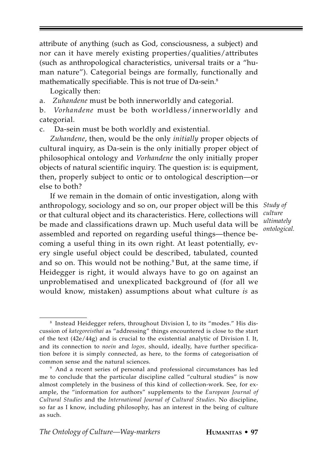attribute of anything (such as God, consciousness, a subject) and nor can it have merely existing properties/qualities/attributes (such as anthropological characteristics, universal traits or a "human nature"). Categorial beings are formally, functionally and mathematically specifiable. This is not true of Da-sein.<sup>8</sup>

Logically then:

a. *Zuhandene* must be both innerworldly and categorial.

b. *Vorhandene* must be both worldless/innerworldly and categorial.

c. Da-sein must be both worldly and existential.

*Zuhandene*, then, would be the only *initially* proper objects of cultural inquiry, as Da-sein is the only initially proper object of philosophical ontology and *Vorhandene* the only initially proper objects of natural scientific inquiry. The question is: is equipment, then, properly subject to ontic or to ontological description—or else to both?

If we remain in the domain of ontic investigation, along with anthropology, sociology and so on, our proper object will be this *Study of* or that cultural object and its characteristics. Here, collections will be made and classifications drawn up. Much useful data will be assembled and reported on regarding useful things—thence becoming a useful thing in its own right. At least potentially, every single useful object could be described, tabulated, counted and so on. This would not be nothing.<sup>9</sup> But, at the same time, if Heidegger is right, it would always have to go on against an unproblematised and unexplicated background of (for all we would know, mistaken) assumptions about what culture *is* as

*culture ultimately ontological.*

<sup>8</sup> Instead Heidegger refers, throughout Division I, to its "modes." His discussion of *kategoreisthai* as "addressing" things encountered is close to the start of the text (42e/44g) and is crucial to the existential analytic of Division I. It, and its connection to *noein* and *logos,* should, ideally, have further specification before it is simply connected, as here, to the forms of categorisation of common sense and the natural sciences.

<sup>9</sup> And a recent series of personal and professional circumstances has led me to conclude that the particular discipline called "cultural studies" is now almost completely in the business of this kind of collection-work. See, for example, the "information for authors" supplements to the *European Journal of Cultural Studies* and the *International Journal of Cultural Studies*. No discipline, so far as I know, including philosophy, has an interest in the being of culture as such.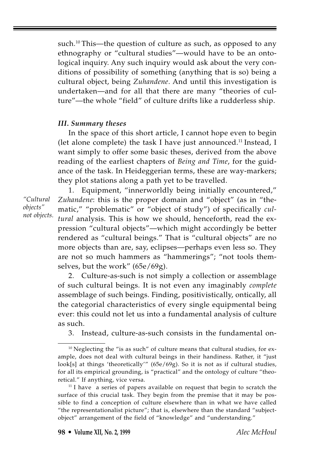such.<sup>10</sup> This—the question of culture as such, as opposed to any ethnography or "cultural studies"—would have to be an ontological inquiry. Any such inquiry would ask about the very conditions of possibility of something (anything that is so) being a cultural object, being *Zuhandene*. And until this investigation is undertaken—and for all that there are many "theories of culture"—the whole "field" of culture drifts like a rudderless ship.

## *III. Summary theses*

In the space of this short article, I cannot hope even to begin (let alone complete) the task I have just announced.<sup>11</sup> Instead, I want simply to offer some basic theses, derived from the above reading of the earliest chapters of *Being and Time*, for the guidance of the task. In Heideggerian terms, these are way-markers; they plot stations along a path yet to be travelled.

*"Cultural objects" not objects.*

1. Equipment, "innerworldly being initially encountered," *Zuhandene*: this is the proper domain and "object" (as in "thematic," "problematic" or "object of study") of specifically *cultural* analysis. This is how we should, henceforth, read the expression "cultural objects"—which might accordingly be better rendered as "cultural beings." That is "cultural objects" are no more objects than are, say, eclipses—perhaps even less so. They are not so much hammers as "hammerings"; "not tools themselves, but the work" (65e/69g).

2. Culture-as-such is not simply a collection or assemblage of such cultural beings. It is not even any imaginably *complete* assemblage of such beings. Finding, positivistically, ontically, all the categorial characteristics of every single equipmental being ever: this could not let us into a fundamental analysis of culture as such.

3. Instead, culture-as-such consists in the fundamental on-

<sup>&</sup>lt;sup>10</sup> Neglecting the "is as such" of culture means that cultural studies, for example, does not deal with cultural beings in their handiness. Rather, it "just look[s] at things 'theoretically'" (65e/69g). So it is not as if cultural studies, for all its empirical grounding, is "practical" and the ontology of culture "theoretical." If anything, vice versa.

<sup>&</sup>lt;sup>11</sup> I have a series of papers available on request that begin to scratch the surface of this crucial task. They begin from the premise that it may be possible to find a conception of culture elsewhere than in what we have called "the representationalist picture"; that is, elsewhere than the standard "subjectobject" arrangement of the field of "knowledge" and "understanding."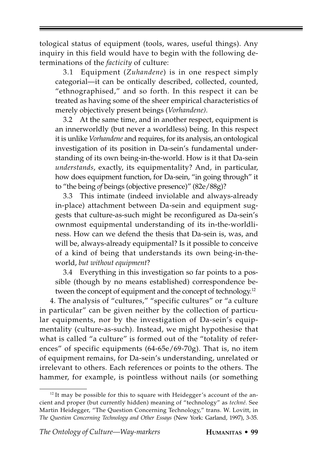tological status of equipment (tools, wares, useful things). Any inquiry in this field would have to begin with the following determinations of the *facticity* of culture:

3.1 Equipment (*Zuhandene*) is in one respect simply categorial—it can be ontically described, collected, counted, "ethnographised," and so forth. In this respect it can be treated as having some of the sheer empirical characteristics of merely objectively present beings (*Vorhandene)*.

3.2 At the same time, and in another respect, equipment is an innerworldly (but never a worldless) being. In this respect it is unlike *Vorhandene* and requires, for its analysis, an ontological investigation of its position in Da-sein's fundamental understanding of its own being-in-the-world. How is it that Da-sein *understands*, exactly, its equipmentality? And, in particular, how does equipment function, for Da-sein, "in going through" it to "the being *of* beings (objective presence)" (82e/88g)?

3.3 This intimate (indeed inviolable and always-already in-place) attachment between Da-sein and equipment suggests that culture-as-such might be reconfigured as Da-sein's ownmost equipmental understanding of its in-the-worldliness. How can we defend the thesis that Da-sein is, was, and will be, always-already equipmental? Is it possible to conceive of a kind of being that understands its own being-in-theworld, *but without equipment*?

3.4 Everything in this investigation so far points to a possible (though by no means established) correspondence between the concept of equipment and the concept of technology.<sup>12</sup>

4. The analysis of "cultures," "specific cultures" or "a culture in particular" can be given neither by the collection of particular equipments, nor by the investigation of Da-sein's equipmentality (culture-as-such). Instead, we might hypothesise that what is called "a culture" is formed out of the "totality of references" of specific equipments (64-65e/69-70g). That is, no item of equipment remains, for Da-sein's understanding, unrelated or irrelevant to others. Each references or points to the others. The hammer, for example, is pointless without nails (or something

 $12$  It may be possible for this to square with Heidegger's account of the ancient and proper (but currently hidden) meaning of "technology" as *techné.* See Martin Heidegger, "The Question Concerning Technology," trans. W. Lovitt, in *The Question Concerning Technology and Other Essays* (New York: Garland, 1997), 3-35.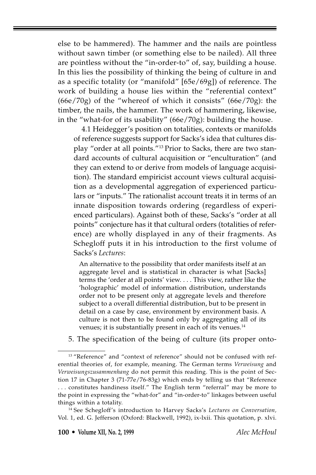else to be hammered). The hammer and the nails are pointless without sawn timber (or something else to be nailed). All three are pointless without the "in-order-to" of, say, building a house. In this lies the possibility of thinking the being of culture in and as a specific totality (or "manifold" [65e/69g]) of reference. The work of building a house lies within the "referential context" (66e/70g) of the "whereof of which it consists" (66e/70g): the timber, the nails, the hammer. The work of hammering, likewise, in the "what-for of its usability" (66e/70g): building the house.

4.1 Heidegger's position on totalities, contexts or manifolds of reference suggests support for Sacks's idea that cultures display "order at all points."13 Prior to Sacks, there are two standard accounts of cultural acquisition or "enculturation" (and they can extend to or derive from models of language acquisition). The standard empiricist account views cultural acquisition as a developmental aggregation of experienced particulars or "inputs." The rationalist account treats it in terms of an innate disposition towards ordering (regardless of experienced particulars). Against both of these, Sacks's "order at all points" conjecture has it that cultural orders (totalities of reference) are wholly displayed in any of their fragments. As Schegloff puts it in his introduction to the first volume of Sacks's *Lectures*:

An alternative to the possibility that order manifests itself at an aggregate level and is statistical in character is what [Sacks] terms the 'order at all points' view. . . . This view, rather like the 'holographic' model of information distribution, understands order not to be present only at aggregate levels and therefore subject to a overall differential distribution, but to be present in detail on a case by case, environment by environment basis. A culture is not then to be found only by aggregating all of its venues; it is substantially present in each of its venues.<sup>14</sup>

5. The specification of the being of culture (its proper onto-

<sup>&</sup>lt;sup>13</sup> "Reference" and "context of reference" should not be confused with referential theories of, for example, meaning. The German terms *Verweisung* and *Verweisungszusammenhang* do not permit this reading. This is the point of Section 17 in Chapter 3 (71-77e/76-83g) which ends by telling us that "Reference . . . constitutes handiness itself." The English term "referral" may be more to the point in expressing the "what-for" and "in-order-to" linkages between useful things within a totality.

<sup>14</sup> See Schegloff's introduction to Harvey Sacks's *Lectures on Conversation,* Vol. 1, ed. G. Jefferson (Oxford: Blackwell, 1992), ix-lxii. This quotation, p. xlvi.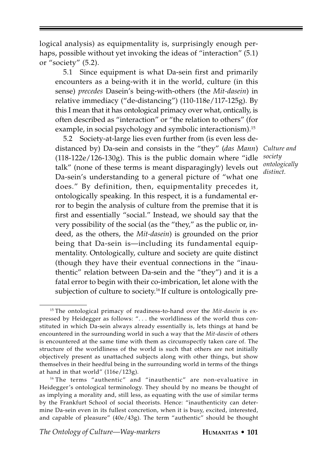logical analysis) as equipmentality is, surprisingly enough perhaps, possible without yet invoking the ideas of "interaction" (5.1) or "society" (5.2).

5.1 Since equipment is what Da-sein first and primarily encounters as a being-with it in the world, culture (in this sense) *precedes* Dasein's being-with-others (the *Mit-dasein*) in relative immediacy ("de-distancing") (110-118e/117-125g). By this I mean that it has ontological primacy over what, ontically, is often described as "interaction" or "the relation to others" (for example, in social psychology and symbolic interactionism).<sup>15</sup>

5.2 Society-at-large lies even further from (is even less dedistanced by) Da-sein and consists in the "they" (*das Mann*) *Culture and* (118-122e/126-130g). This is the public domain where "idle talk" (none of these terms is meant disparagingly) levels out Da-sein's understanding to a general picture of "what one does." By definition, then, equipmentality precedes it, ontologically speaking. In this respect, it is a fundamental error to begin the analysis of culture from the premise that it is first and essentially "social." Instead, we should say that the very possibility of the social (as the "they," as the public or, indeed, as the others, the *Mit-dasein*) is grounded on the prior being that Da-sein is—including its fundamental equipmentality. Ontologically, culture and society are quite distinct (though they have their eventual connections in the "inauthentic" relation between Da-sein and the "they") and it is a fatal error to begin with their co-imbrication, let alone with the subjection of culture to society.<sup>16</sup> If culture is ontologically pre-

*society ontologically distinct.*

<sup>15</sup> The ontological primacy of readiness-to-hand over the *Mit-dasein* is expressed by Heidegger as follows: ". . . the worldliness of the world thus constituted in which Da-sein always already essentially is, lets things at hand be encountered in the surrounding world in such a way that the *Mit-dasein* of others is encountered at the same time with them as circumspectly taken care of. The structure of the worldliness of the world is such that others are not initially objectively present as unattached subjects along with other things, but show themselves in their heedful being in the surrounding world in terms of the things at hand in that world" (116e/123g).

<sup>16</sup> The terms "authentic" and "inauthentic" are non-evaluative in Heidegger's ontological terminology. They should by no means be thought of as implying a morality and, still less, as equating with the use of similar terms by the Frankfurt School of social theorists. Hence: "inauthenticity can determine Da-sein even in its fullest concretion, when it is busy, excited, interested, and capable of pleasure" (40e/43g). The term "authentic" should be thought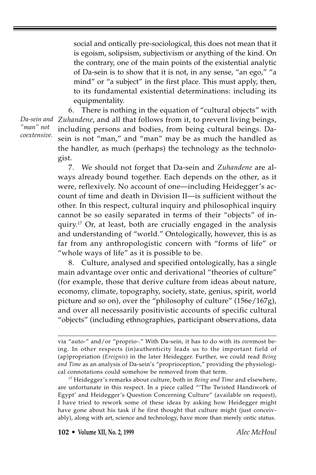social and ontically pre-sociological, this does not mean that it is egoism, solipsism, subjectivism or anything of the kind. On the contrary, one of the main points of the existential analytic of Da-sein is to show that it is not, in any sense, "an ego," "a mind" or "a subject" in the first place. This must apply, then, to its fundamental existential determinations: including its equipmentality.

6. There is nothing in the equation of "cultural objects" with *Zuhandene*, and all that follows from it, to prevent living beings, including persons and bodies, from being cultural beings. Dasein is not "man," and "man" may be as much the handled as the handler, as much (perhaps) the technology as the technologist.

7. We should not forget that Da-sein and *Zuhandene* are always already bound together. Each depends on the other, as it were, reflexively. No account of one—including Heidegger's account of time and death in Division II—is sufficient without the other. In this respect, cultural inquiry and philosophical inquiry cannot be so easily separated in terms of their "objects" of inquiry.<sup>17</sup> Or, at least, both are crucially engaged in the analysis and understanding of "world." Ontologically, however, this is as far from any anthropologistic concern with "forms of life" or "whole ways of life" as it is possible to be.

8. Culture, analysed and specified ontologically, has a single main advantage over ontic and derivational "theories of culture" (for example, those that derive culture from ideas about nature, economy, climate, topography, society, state, genius, spirit, world picture and so on), over the "philosophy of culture" (156e/167g), and over all necessarily positivistic accounts of specific cultural "objects" (including ethnographies, participant observations, data

*Da-sein and "man" not coextensive.*

via "auto-" and/or "proprio-." With Da-sein, it has to do with its *own*most being. In other respects (in)authenticity leads us to the important field of (ap)propriation (*Ereignis*) in the later Heidegger. Further, we could read *Being and Time* as an analysis of Da-sein's "proprioception," providing the physiological connotations could somehow be removed from that term.

<sup>17</sup> Heidegger's remarks about culture, both in *Being and Time* and elsewhere, are unfortunate in this respect. In a piece called "'The Twisted Handiwork of Egypt' and Heidegger's Question Concerning Culture" (available on request), I have tried to rework some of these ideas by asking how Heidegger might have gone about his task if he first thought that culture might (just conceivably), along with art, science and technology, have more than merely ontic status.